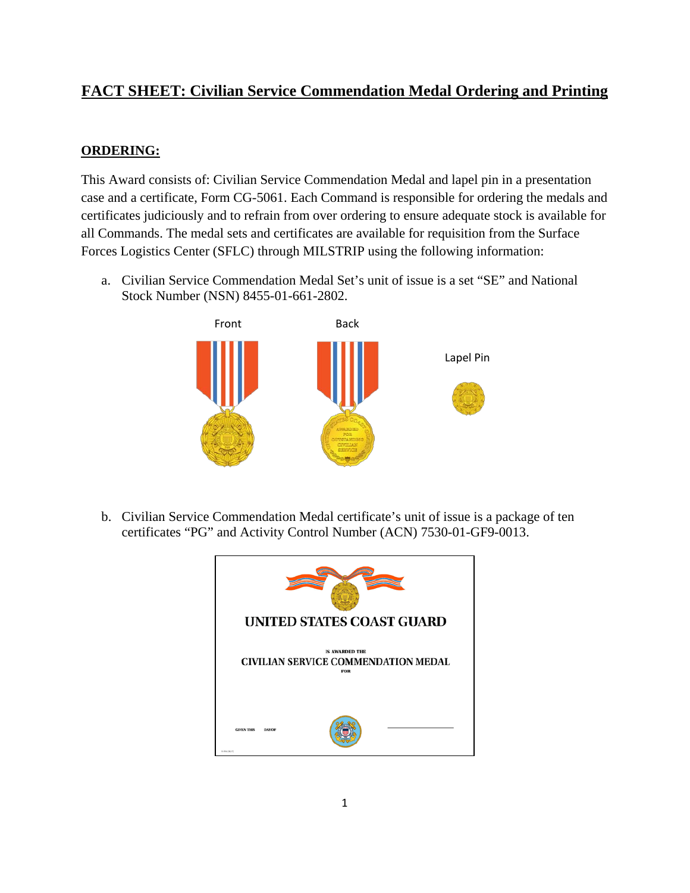## **FACT SHEET: Civilian Service Commendation Medal Ordering and Printing**

## **ORDERING:**

This Award consists of: Civilian Service Commendation Medal and lapel pin in a presentation case and a certificate, Form CG-5061. Each Command is responsible for ordering the medals and certificates judiciously and to refrain from over ordering to ensure adequate stock is available for all Commands. The medal sets and certificates are available for requisition from the Surface Forces Logistics Center (SFLC) through MILSTRIP using the following information:

a. Civilian Service Commendation Medal Set's unit of issue is a set "SE" and National Stock Number (NSN) 8455-01-661-2802.



b. Civilian Service Commendation Medal certificate's unit of issue is a package of ten certificates "PG" and Activity Control Number (ACN) 7530-01-GF9-0013.

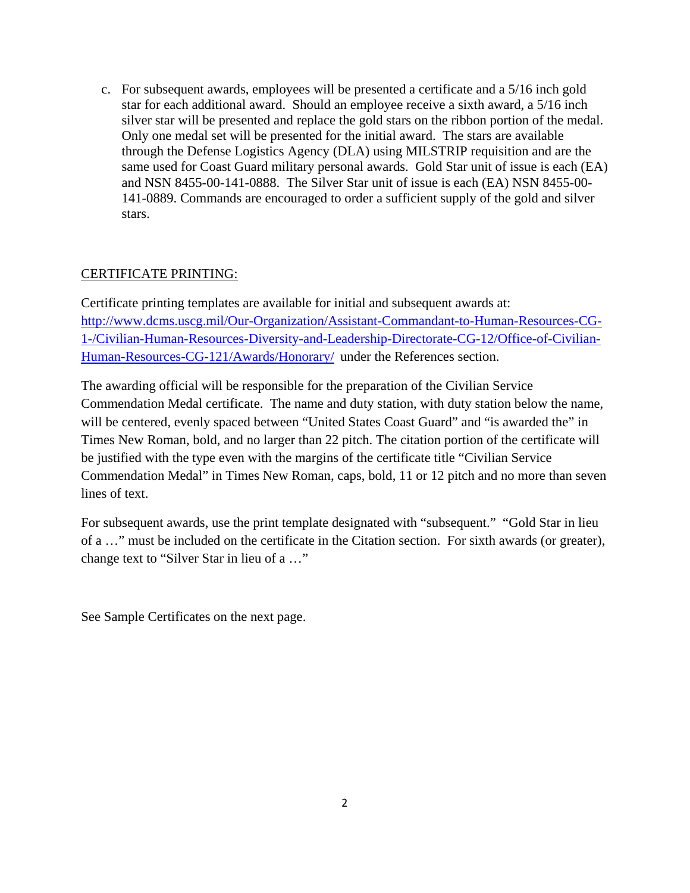c. For subsequent awards, employees will be presented a certificate and a 5/16 inch gold star for each additional award. Should an employee receive a sixth award, a 5/16 inch silver star will be presented and replace the gold stars on the ribbon portion of the medal. Only one medal set will be presented for the initial award. The stars are available through the Defense Logistics Agency (DLA) using MILSTRIP requisition and are the same used for Coast Guard military personal awards. Gold Star unit of issue is each (EA) and NSN 8455-00-141-0888. The Silver Star unit of issue is each (EA) NSN 8455-00- 141-0889. Commands are encouraged to order a sufficient supply of the gold and silver stars.

## CERTIFICATE PRINTING:

Certificate printing templates are available for initial and subsequent awards at: [http://www.dcms.uscg.mil/Our-Organization/Assistant-Commandant-to-Human-Resources-CG-](http://www.dcms.uscg.mil/Our-Organization/Assistant-Commandant-to-Human-Resources-CG-1-/Civilian-Human-Resources-Diversity-and-Leadership-Directorate-CG-12/Office-of-Civilian-Human-Resources-CG-121/Awards/Honorary/)[1-/Civilian-Human-Resources-Diversity-and-Leadership-Directorate-CG-12/Office-of-Civilian-](http://www.dcms.uscg.mil/Our-Organization/Assistant-Commandant-to-Human-Resources-CG-1-/Civilian-Human-Resources-Diversity-and-Leadership-Directorate-CG-12/Office-of-Civilian-Human-Resources-CG-121/Awards/Honorary/)[Human-Resources-CG-121/Awards/Honorary/](http://www.dcms.uscg.mil/Our-Organization/Assistant-Commandant-to-Human-Resources-CG-1-/Civilian-Human-Resources-Diversity-and-Leadership-Directorate-CG-12/Office-of-Civilian-Human-Resources-CG-121/Awards/Honorary/) under the References section.

The awarding official will be responsible for the preparation of the Civilian Service Commendation Medal certificate. The name and duty station, with duty station below the name, will be centered, evenly spaced between "United States Coast Guard" and "is awarded the" in Times New Roman, bold, and no larger than 22 pitch. The citation portion of the certificate will be justified with the type even with the margins of the certificate title "Civilian Service Commendation Medal" in Times New Roman, caps, bold, 11 or 12 pitch and no more than seven lines of text.

For subsequent awards, use the print template designated with "subsequent." "Gold Star in lieu of a …" must be included on the certificate in the Citation section. For sixth awards (or greater), change text to "Silver Star in lieu of a …"

See Sample Certificates on the next page.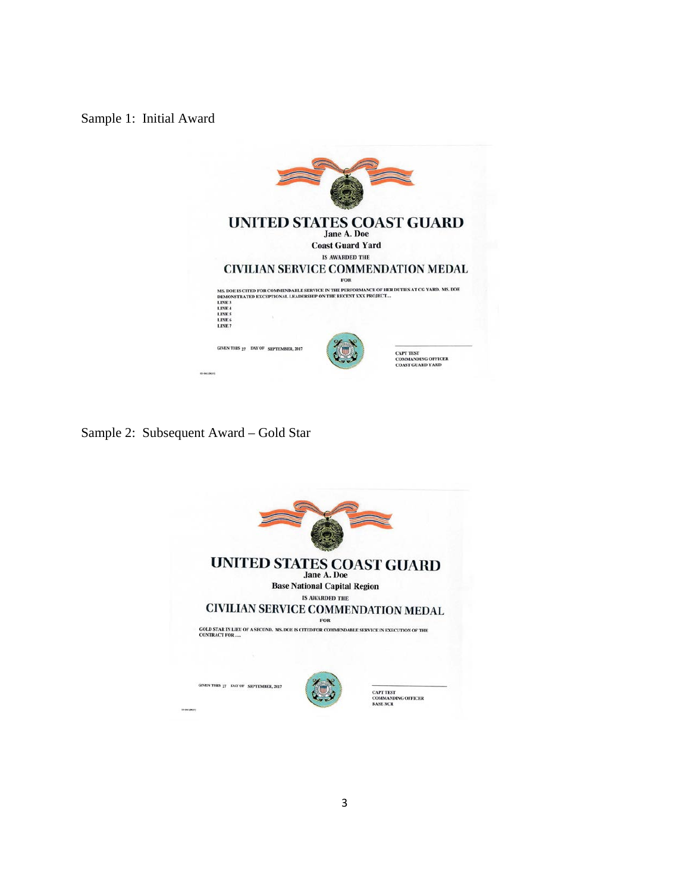Sample 1: Initial Award



Sample 2: Subsequent Award – Gold Star